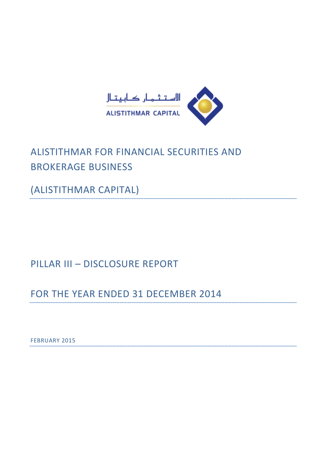

# ALISTITHMAR FOR FINANCIAL SECURITIES AND BROKERAGE BUSINESS

(ALISTITHMAR CAPITAL)

# PILLAR III – DISCLOSURE REPORT

FOR THE YEAR ENDED 31 DECEMBER 2014

FEBRUARY 2015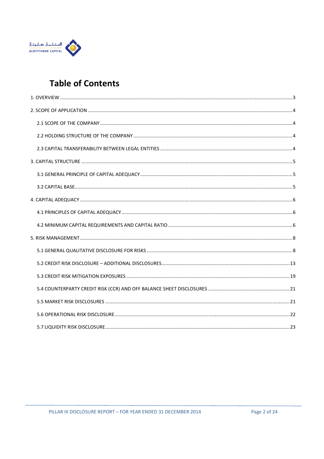

# **Table of Contents**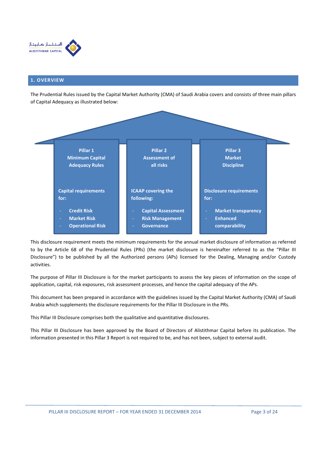

## 1. OVERVIEW

The Prudential Rules issued by the Capital Market Authority (CMA) of Saudi Arabia covers and consists of three main pillars of Capital Adequacy as illustrated below:



This disclosure requirement meets the minimum requirements for the annual market disclosure of information as referred to by the Article 68 of the Prudential Rules (PRs) (the market disclosure is hereinafter referred to as the "Pillar III Disclosure") to be published by all the Authorized persons (APs) licensed for the Dealing, Managing and/or Custody activities.

The purpose of Pillar III Disclosure is for the market participants to assess the key pieces of information on the scope of application, capital, risk exposures, risk assessment processes, and hence the capital adequacy of the APs.

This document has been prepared in accordance with the guidelines issued by the Capital Market Authority (CMA) of Saudi Arabia which supplements the disclosure requirements for the Pillar III Disclosure in the PRs.

This Pillar III Disclosure comprises both the qualitative and quantitative disclosures.

This Pillar III Disclosure has been approved by the Board of Directors of Alistithmar Capital before its publication. The information presented in this Pillar 3 Report is not required to be, and has not been, subject to external audit.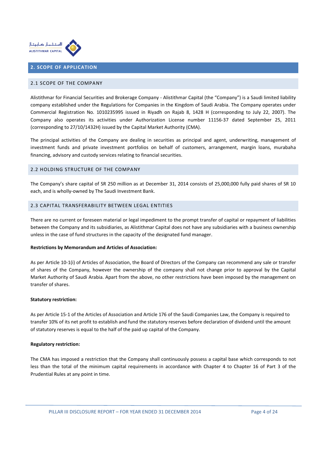

# 2. SCOPE OF APPLICATION

## 2.1 SCOPE OF THE COMPANY

Alistithmar for Financial Securities and Brokerage Company - Alistithmar Capital (the "Company") is a Saudi limited liability company established under the Regulations for Companies in the Kingdom of Saudi Arabia. The Company operates under Commercial Registration No. 1010235995 issued in Riyadh on Rajab 8, 1428 H (corresponding to July 22, 2007). The Company also operates its activities under Authorization License number 11156-37 dated September 25, 2011 (corresponding to 27/10/1432H) issued by the Capital Market Authority (CMA).

The principal activities of the Company are dealing in securities as principal and agent, underwriting, management of investment funds and private investment portfolios on behalf of customers, arrangement, margin loans, murabaha financing, advisory and custody services relating to financial securities.

## 2.2 HOLDING STRUCTURE OF THE COMPANY

The Company's share capital of SR 250 million as at December 31, 2014 consists of 25,000,000 fully paid shares of SR 10 each, and is wholly-owned by The Saudi Investment Bank.

# 2.3 CAPITAL TRANSFERABILITY BETWEEN LEGAL ENTITIES

There are no current or foreseen material or legal impediment to the prompt transfer of capital or repayment of liabilities between the Company and its subsidiaries, as Alistithmar Capital does not have any subsidiaries with a business ownership unless in the case of fund structures in the capacity of the designated fund manager.

#### Restrictions by Memorandum and Articles of Association:

As per Article 10-1(i) of Articles of Association, the Board of Directors of the Company can recommend any sale or transfer of shares of the Company, however the ownership of the company shall not change prior to approval by the Capital Market Authority of Saudi Arabia. Apart from the above, no other restrictions have been imposed by the management on transfer of shares.

#### Statutory restriction:

As per Article 15-1 of the Articles of Association and Article 176 of the Saudi Companies Law, the Company is required to transfer 10% of its net profit to establish and fund the statutory reserves before declaration of dividend until the amount of statutory reserves is equal to the half of the paid up capital of the Company.

#### Regulatory restriction:

The CMA has imposed a restriction that the Company shall continuously possess a capital base which corresponds to not less than the total of the minimum capital requirements in accordance with Chapter 4 to Chapter 16 of Part 3 of the Prudential Rules at any point in time.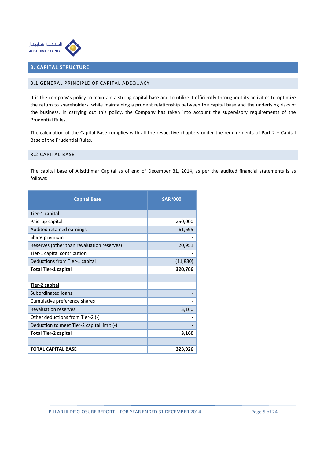

# 3. CAPITAL STRUCTURE

# 3.1 GENERAL PRINCIPLE OF CAPITAL ADEQUACY

It is the company's policy to maintain a strong capital base and to utilize it efficiently throughout its activities to optimize the return to shareholders, while maintaining a prudent relationship between the capital base and the underlying risks of the business. In carrying out this policy, the Company has taken into account the supervisory requirements of the Prudential Rules.

The calculation of the Capital Base complies with all the respective chapters under the requirements of Part  $2$  – Capital Base of the Prudential Rules.

## 3.2 CAPITAL BASE

The capital base of Alistithmar Capital as of end of December 31, 2014, as per the audited financial statements is as follows:

| <b>Capital Base</b>                        | <b>SAR '000</b> |
|--------------------------------------------|-----------------|
| Tier-1 capital                             |                 |
| Paid-up capital                            | 250,000         |
| Audited retained earnings                  | 61,695          |
| Share premium                              |                 |
| Reserves (other than revaluation reserves) | 20,951          |
| Tier-1 capital contribution                |                 |
| Deductions from Tier-1 capital             | (11,880)        |
| <b>Total Tier-1 capital</b>                | 320,766         |
|                                            |                 |
| <u>Tier-2 capital</u>                      |                 |
| <b>Subordinated loans</b>                  |                 |
| Cumulative preference shares               |                 |
| <b>Revaluation reserves</b>                | 3,160           |
| Other deductions from Tier-2 (-)           |                 |
| Deduction to meet Tier-2 capital limit (-) |                 |
| <b>Total Tier-2 capital</b>                | 3,160           |
|                                            |                 |
| <b>TOTAL CAPITAL BASE</b>                  | 323,926         |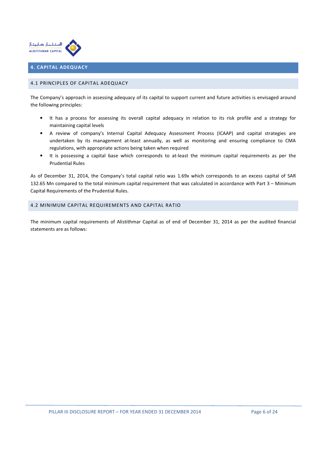

# 4. CAPITAL ADEQUACY

# 4.1 PRINCIPLES OF CAPITAL ADEQUACY

The Company's approach in assessing adequacy of its capital to support current and future activities is envisaged around the following principles:

- It has a process for assessing its overall capital adequacy in relation to its risk profile and a strategy for maintaining capital levels
- A review of company's Internal Capital Adequacy Assessment Process (ICAAP) and capital strategies are undertaken by its management at-least annually, as well as monitoring and ensuring compliance to CMA regulations, with appropriate actions being taken when required
- It is possessing a capital base which corresponds to at-least the minimum capital requirements as per the Prudential Rules

As of December 31, 2014, the Company's total capital ratio was 1.69x which corresponds to an excess capital of SAR 132.65 Mn compared to the total minimum capital requirement that was calculated in accordance with Part 3 – Minimum Capital Requirements of the Prudential Rules.

## 4.2 MINIMUM CAPITAL REQUIREMENTS AND CAPITAL RATIO

The minimum capital requirements of Alistithmar Capital as of end of December 31, 2014 as per the audited financial statements are as follows: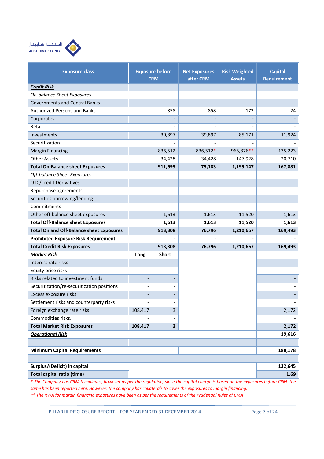

| <b>Exposure class</b>                            |                          | <b>Exposure before</b><br><b>CRM</b> | <b>Net Exposures</b><br>after CRM | <b>Risk Weighted</b> | <b>Capital</b>     |
|--------------------------------------------------|--------------------------|--------------------------------------|-----------------------------------|----------------------|--------------------|
|                                                  |                          |                                      |                                   | <b>Assets</b>        | <b>Requirement</b> |
| <b>Credit Risk</b><br>On-balance Sheet Exposures |                          |                                      |                                   |                      |                    |
| <b>Governments and Central Banks</b>             |                          |                                      |                                   |                      |                    |
| <b>Authorized Persons and Banks</b>              |                          | 858                                  | 858                               | 172                  | 24                 |
|                                                  |                          |                                      |                                   |                      |                    |
| Corporates<br>Retail                             |                          |                                      |                                   |                      |                    |
| Investments                                      |                          | 39,897                               | 39,897                            | 85,171               | 11,924             |
| Securitization                                   |                          |                                      |                                   |                      |                    |
| <b>Margin Financing</b>                          |                          | 836,512                              | 836,512*                          | 965,876**            | 135,223            |
| <b>Other Assets</b>                              |                          | 34,428                               | 34,428                            |                      | 20,710             |
| <b>Total On-Balance sheet Exposures</b>          |                          | 911,695                              | 75,183                            | 147,928<br>1,199,147 | 167,881            |
| Off-balance Sheet Exposures                      |                          |                                      |                                   |                      |                    |
| <b>OTC/Credit Derivatives</b>                    |                          |                                      | $\overline{a}$                    |                      |                    |
| Repurchase agreements                            |                          | $\qquad \qquad \blacksquare$         |                                   |                      |                    |
| Securities borrowing/lending                     |                          |                                      |                                   |                      |                    |
| Commitments                                      |                          |                                      |                                   |                      |                    |
| Other off-balance sheet exposures                |                          | 1,613                                | 1,613                             | 11,520               | 1,613              |
| <b>Total Off-Balance sheet Exposures</b>         |                          | 1,613                                | 1,613                             | 11,520               | 1,613              |
| <b>Total On and Off-Balance sheet Exposures</b>  |                          | 913,308                              | 76,796                            | 1,210,667            | 169,493            |
| <b>Prohibited Exposure Risk Requirement</b>      |                          |                                      |                                   |                      |                    |
| <b>Total Credit Risk Exposures</b>               |                          | 913,308                              | 76,796                            | 1,210,667            | 169,493            |
| <b>Market Risk</b>                               | Long                     | <b>Short</b>                         |                                   |                      |                    |
| Interest rate risks                              |                          |                                      |                                   |                      |                    |
| Equity price risks                               |                          |                                      |                                   |                      |                    |
| Risks related to investment funds                |                          |                                      |                                   |                      |                    |
| Securitization/re-securitization positions       | $\overline{\phantom{a}}$ |                                      |                                   |                      |                    |
| Excess exposure risks                            |                          |                                      |                                   |                      |                    |
| Settlement risks and counterparty risks          |                          |                                      |                                   |                      |                    |
| Foreign exchange rate risks                      | 108,417                  | 3                                    |                                   |                      | 2,172              |
| Commodities risks.                               |                          |                                      |                                   |                      |                    |
| <b>Total Market Risk Exposures</b>               | 108,417                  | $\overline{\mathbf{3}}$              |                                   |                      | 2,172              |
| <b>Operational Risk</b>                          |                          |                                      |                                   |                      | 19,616             |
|                                                  |                          |                                      |                                   |                      |                    |
| <b>Minimum Capital Requirements</b>              |                          |                                      |                                   |                      | 188,178            |
|                                                  |                          |                                      |                                   |                      |                    |
| Surplus/(Deficit) in capital                     |                          |                                      |                                   |                      | 132,645            |
| Total capital ratio (time)                       |                          |                                      |                                   |                      |                    |

\* The Company has CRM techniques, however as per the regulation, since the capital charge is based on the exposures before CRM, the same has been reported here. However, the company has collaterals to cover the exposures to margin financing.

\*\* The RWA for margin financing exposures have been as per the requirements of the Prudential Rules of CMA

PILLAR III DISCLOSURE REPORT - FOR YEAR ENDED 31 DECEMBER 2014 Page 7 of 24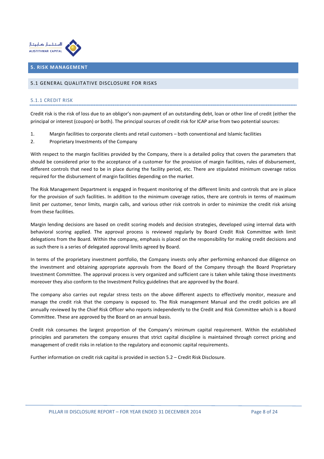

## 5. RISK MANAGEMENT

#### 5.1 GENERAL QUALITATIVE DISCLOSURE FOR RISKS

### 5.1.1 CREDIT RISK

Credit risk is the risk of loss due to an obligor's non-payment of an outstanding debt, loan or other line of credit (either the principal or interest (coupon) or both). The principal sources of credit risk for ICAP arise from two potential sources:

- 1. Margin facilities to corporate clients and retail customers both conventional and Islamic facilities
- 2. Proprietary Investments of the Company

With respect to the margin facilities provided by the Company, there is a detailed policy that covers the parameters that should be considered prior to the acceptance of a customer for the provision of margin facilities, rules of disbursement, different controls that need to be in place during the facility period, etc. There are stipulated minimum coverage ratios required for the disbursement of margin facilities depending on the market.

The Risk Management Department is engaged in frequent monitoring of the different limits and controls that are in place for the provision of such facilities. In addition to the minimum coverage ratios, there are controls in terms of maximum limit per customer, tenor limits, margin calls, and various other risk controls in order to minimize the credit risk arising from these facilities.

Margin lending decisions are based on credit scoring models and decision strategies, developed using internal data with behavioral scoring applied. The approval process is reviewed regularly by Board Credit Risk Committee with limit delegations from the Board. Within the company, emphasis is placed on the responsibility for making credit decisions and as such there is a series of delegated approval limits agreed by Board.

In terms of the proprietary investment portfolio, the Company invests only after performing enhanced due diligence on the investment and obtaining appropriate approvals from the Board of the Company through the Board Proprietary Investment Committee. The approval process is very organized and sufficient care is taken while taking those investments moreover they also conform to the Investment Policy guidelines that are approved by the Board.

The company also carries out regular stress tests on the above different aspects to effectively monitor, measure and manage the credit risk that the company is exposed to. The Risk management Manual and the credit policies are all annually reviewed by the Chief Risk Officer who reports independently to the Credit and Risk Committee which is a Board Committee. These are approved by the Board on an annual basis.

Credit risk consumes the largest proportion of the Company's minimum capital requirement. Within the established principles and parameters the company ensures that strict capital discipline is maintained through correct pricing and management of credit risks in relation to the regulatory and economic capital requirements.

Further information on credit risk capital is provided in section 5.2 – Credit Risk Disclosure.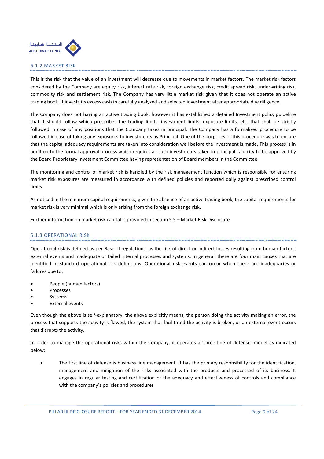

## 5.1.2 MARKET RISK

This is the risk that the value of an investment will decrease due to movements in market factors. The market risk factors considered by the Company are equity risk, interest rate risk, foreign exchange risk, credit spread risk, underwriting risk, commodity risk and settlement risk. The Company has very little market risk given that it does not operate an active trading book. It invests its excess cash in carefully analyzed and selected investment after appropriate due diligence.

The Company does not having an active trading book, however it has established a detailed Investment policy guideline that it should follow which prescribes the trading limits, investment limits, exposure limits, etc. that shall be strictly followed in case of any positions that the Company takes in principal. The Company has a formalized procedure to be followed in case of taking any exposures to investments as Principal. One of the purposes of this procedure was to ensure that the capital adequacy requirements are taken into consideration well before the investment is made. This process is in addition to the formal approval process which requires all such investments taken in principal capacity to be approved by the Board Proprietary Investment Committee having representation of Board members in the Committee.

The monitoring and control of market risk is handled by the risk management function which is responsible for ensuring market risk exposures are measured in accordance with defined policies and reported daily against prescribed control limits.

As noticed in the minimum capital requirements, given the absence of an active trading book, the capital requirements for market risk is very minimal which is only arising from the foreign exchange risk.

Further information on market risk capital is provided in section 5.5 – Market Risk Disclosure.

# 5.1.3 OPERATIONAL RISK

Operational risk is defined as per Basel II regulations, as the risk of direct or indirect losses resulting from human factors, external events and inadequate or failed internal processes and systems. In general, there are four main causes that are identified in standard operational risk definitions. Operational risk events can occur when there are inadequacies or failures due to:

- People (human factors)
- **Processes**
- **Systems**
- External events

Even though the above is self-explanatory, the above explicitly means, the person doing the activity making an error, the process that supports the activity is flawed, the system that facilitated the activity is broken, or an external event occurs that disrupts the activity.

In order to manage the operational risks within the Company, it operates a 'three line of defense' model as indicated below:

• The first line of defense is business line management. It has the primary responsibility for the identification, management and mitigation of the risks associated with the products and processed of its business. It engages in regular testing and certification of the adequacy and effectiveness of controls and compliance with the company's policies and procedures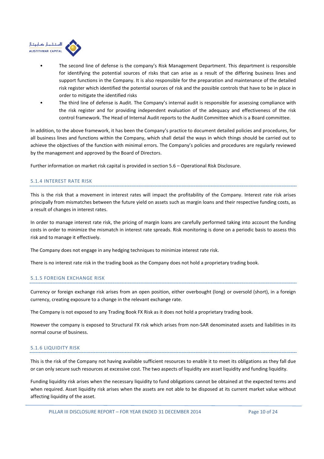

- The second line of defense is the company's Risk Management Department. This department is responsible for identifying the potential sources of risks that can arise as a result of the differing business lines and support functions in the Company. It is also responsible for the preparation and maintenance of the detailed risk register which identified the potential sources of risk and the possible controls that have to be in place in order to mitigate the identified risks
- The third line of defense is Audit. The Company's internal audit is responsible for assessing compliance with the risk register and for providing independent evaluation of the adequacy and effectiveness of the risk control framework. The Head of Internal Audit reports to the Audit Committee which is a Board committee.

In addition, to the above framework, it has been the Company's practice to document detailed policies and procedures, for all business lines and functions within the Company, which shall detail the ways in which things should be carried out to achieve the objectives of the function with minimal errors. The Company's policies and procedures are regularly reviewed by the management and approved by the Board of Directors.

Further information on market risk capital is provided in section 5.6 – Operational Risk Disclosure.

# 5.1.4 INTEREST RATE RISK

This is the risk that a movement in interest rates will impact the profitability of the Company. Interest rate risk arises principally from mismatches between the future yield on assets such as margin loans and their respective funding costs, as a result of changes in interest rates.

In order to manage interest rate risk, the pricing of margin loans are carefully performed taking into account the funding costs in order to minimize the mismatch in interest rate spreads. Risk monitoring is done on a periodic basis to assess this risk and to manage it effectively.

The Company does not engage in any hedging techniques to minimize interest rate risk.

There is no interest rate risk in the trading book as the Company does not hold a proprietary trading book.

# 5.1.5 FOREIGN EXCHANGE RISK

Currency or foreign exchange risk arises from an open position, either overbought (long) or oversold (short), in a foreign currency, creating exposure to a change in the relevant exchange rate.

The Company is not exposed to any Trading Book FX Risk as it does not hold a proprietary trading book.

However the company is exposed to Structural FX risk which arises from non-SAR denominated assets and liabilities in its normal course of business.

# 5.1.6 LIQUIDITY RISK

This is the risk of the Company not having available sufficient resources to enable it to meet its obligations as they fall due or can only secure such resources at excessive cost. The two aspects of liquidity are asset liquidity and funding liquidity.

Funding liquidity risk arises when the necessary liquidity to fund obligations cannot be obtained at the expected terms and when required. Asset liquidity risk arises when the assets are not able to be disposed at its current market value without affecting liquidity of the asset.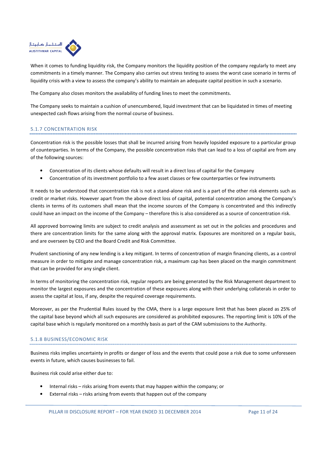

When it comes to funding liquidity risk, the Company monitors the liquidity position of the company regularly to meet any commitments in a timely manner. The Company also carries out stress testing to assess the worst case scenario in terms of liquidity crisis with a view to assess the company's ability to maintain an adequate capital position in such a scenario.

The Company also closes monitors the availability of funding lines to meet the commitments.

The Company seeks to maintain a cushion of unencumbered, liquid investment that can be liquidated in times of meeting unexpected cash flows arising from the normal course of business.

# 5.1.7 CONCENTRATION RISK

Concentration risk is the possible losses that shall be incurred arising from heavily lopsided exposure to a particular group of counterparties. In terms of the Company, the possible concentration risks that can lead to a loss of capital are from any of the following sources:

- Concentration of its clients whose defaults will result in a direct loss of capital for the Company
- Concentration of its investment portfolio to a few asset classes or few counterparties or few instruments

It needs to be understood that concentration risk is not a stand-alone risk and is a part of the other risk elements such as credit or market risks. However apart from the above direct loss of capital, potential concentration among the Company's clients in terms of its customers shall mean that the income sources of the Company is concentrated and this indirectly could have an impact on the income of the Company – therefore this is also considered as a source of concentration risk.

All approved borrowing limits are subject to credit analysis and assessment as set out in the policies and procedures and there are concentration limits for the same along with the approval matrix. Exposures are monitored on a regular basis, and are overseen by CEO and the Board Credit and Risk Committee.

Prudent sanctioning of any new lending is a key mitigant. In terms of concentration of margin financing clients, as a control measure in order to mitigate and manage concentration risk, a maximum cap has been placed on the margin commitment that can be provided for any single client.

In terms of monitoring the concentration risk, regular reports are being generated by the Risk Management department to monitor the largest exposures and the concentration of these exposures along with their underlying collaterals in order to assess the capital at loss, if any, despite the required coverage requirements.

Moreover, as per the Prudential Rules issued by the CMA, there is a large exposure limit that has been placed as 25% of the capital base beyond which all such exposures are considered as prohibited exposures. The reporting limit is 10% of the capital base which is regularly monitored on a monthly basis as part of the CAM submissions to the Authority.

# 5.1.8 BUSINESS/ECONOMIC RISK

Business risks implies uncertainty in profits or danger of loss and the events that could pose a risk due to some unforeseen events in future, which causes businesses to fail.

Business risk could arise either due to:

- Internal risks risks arising from events that may happen within the company; or
- External risks risks arising from events that happen out of the company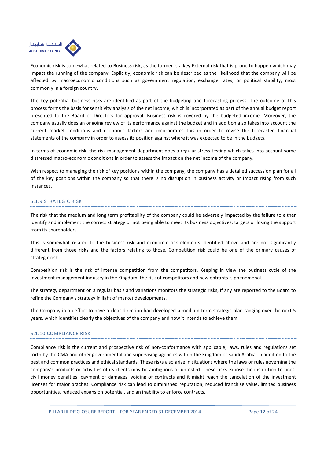

Economic risk is somewhat related to Business risk, as the former is a key External risk that is prone to happen which may impact the running of the company. Explicitly, economic risk can be described as the likelihood that the company will be affected by macroeconomic conditions such as government regulation, exchange rates, or political stability, most commonly in a foreign country.

The key potential business risks are identified as part of the budgeting and forecasting process. The outcome of this process forms the basis for sensitivity analysis of the net income, which is incorporated as part of the annual budget report presented to the Board of Directors for approval. Business risk is covered by the budgeted income. Moreover, the company usually does an ongoing review of its performance against the budget and in addition also takes into account the current market conditions and economic factors and incorporates this in order to revise the forecasted financial statements of the company in order to assess its position against where it was expected to be in the budgets.

In terms of economic risk, the risk management department does a regular stress testing which takes into account some distressed macro-economic conditions in order to assess the impact on the net income of the company.

With respect to managing the risk of key positions within the company, the company has a detailed succession plan for all of the key positions within the company so that there is no disruption in business activity or impact rising from such instances.

# 5.1.9 STRATEGIC RISK

The risk that the medium and long term profitability of the company could be adversely impacted by the failure to either identify and implement the correct strategy or not being able to meet its business objectives, targets or losing the support from its shareholders.

This is somewhat related to the business risk and economic risk elements identified above and are not significantly different from those risks and the factors relating to those. Competition risk could be one of the primary causes of strategic risk.

Competition risk is the risk of intense competition from the competitors. Keeping in view the business cycle of the investment management industry in the Kingdom, the risk of competitors and new entrants is phenomenal.

The strategy department on a regular basis and variations monitors the strategic risks, if any are reported to the Board to refine the Company's strategy in light of market developments.

The Company in an effort to have a clear direction had developed a medium term strategic plan ranging over the next 5 years, which identifies clearly the objectives of the company and how it intends to achieve them.

#### 5.1.10 COMPLIANCE RISK

Compliance risk is the current and prospective risk of non-conformance with applicable, laws, rules and regulations set forth by the CMA and other governmental and supervising agencies within the Kingdom of Saudi Arabia, in addition to the best and common practices and ethical standards. These risks also arise in situations where the laws or rules governing the company's products or activities of its clients may be ambiguous or untested. These risks expose the institution to fines, civil money penalties, payment of damages, voiding of contracts and it might reach the cancelation of the investment licenses for major braches. Compliance risk can lead to diminished reputation, reduced franchise value, limited business opportunities, reduced expansion potential, and an inability to enforce contracts.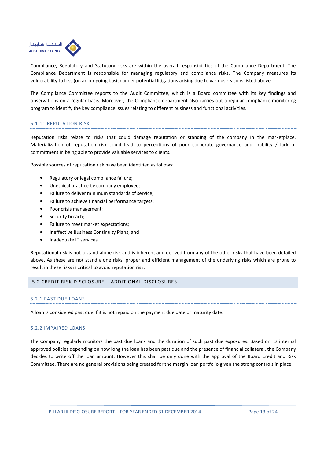

Compliance, Regulatory and Statutory risks are within the overall responsibilities of the Compliance Department. The Compliance Department is responsible for managing regulatory and compliance risks. The Company measures its vulnerability to loss (on an on-going basis) under potential litigations arising due to various reasons listed above.

The Compliance Committee reports to the Audit Committee, which is a Board committee with its key findings and observations on a regular basis. Moreover, the Compliance department also carries out a regular compliance monitoring program to identify the key compliance issues relating to different business and functional activities.

## 5.1.11 REPUTATION RISK

Reputation risks relate to risks that could damage reputation or standing of the company in the marketplace. Materialization of reputation risk could lead to perceptions of poor corporate governance and inability / lack of commitment in being able to provide valuable services to clients.

Possible sources of reputation risk have been identified as follows:

- Regulatory or legal compliance failure;
- Unethical practice by company employee;
- Failure to deliver minimum standards of service;
- Failure to achieve financial performance targets;
- Poor crisis management;
- Security breach;
- Failure to meet market expectations;
- Ineffective Business Continuity Plans; and
- Inadequate IT services

Reputational risk is not a stand-alone risk and is inherent and derived from any of the other risks that have been detailed above. As these are not stand alone risks, proper and efficient management of the underlying risks which are prone to result in these risks is critical to avoid reputation risk.

#### 5.2 CREDIT RISK DISCLOSURE – ADDITIONAL DISCLOSURES

# 5.2.1 PAST DUE LOANS

A loan is considered past due if it is not repaid on the payment due date or maturity date.

#### 5.2.2 IMPAIRED LOANS

The Company regularly monitors the past due loans and the duration of such past due exposures. Based on its internal approved policies depending on how long the loan has been past due and the presence of financial collateral, the Company decides to write off the loan amount. However this shall be only done with the approval of the Board Credit and Risk Committee. There are no general provisions being created for the margin loan portfolio given the strong controls in place.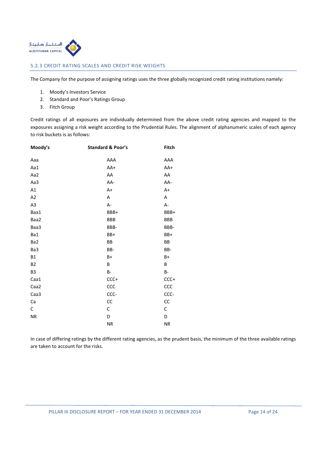

## 5.2.3 CREDIT RATING SCALES AND CREDIT RISK WEIGHTS

The Company for the purpose of assigning ratings uses the three globally recognized credit rating institutions namely:

- 1. Moody's Investors Service
- 2. Standard and Poor's Ratings Group
- 3. Fitch Group

Credit ratings of all exposures are individually determined from the above credit rating agencies and mapped to the exposures assigning a risk weight according to the Prudential Rules. The alignment of alphanumeric scales of each agency to risk buckets is as follows:

| Moody's        | <b>Standard &amp; Poor's</b> | Fitch      |
|----------------|------------------------------|------------|
| Aaa            | AAA                          | AAA        |
| Aa1            | AA+                          | AA+        |
| Aa2            | AA                           | AA         |
| Aa3            | AA-                          | AA-        |
| A1             | A+                           | A+         |
| A <sub>2</sub> | А                            | А          |
| A3             | A-                           | A-         |
| Baa1           | BBB+                         | BBB+       |
| Baa2           | <b>BBB</b>                   | <b>BBB</b> |
| Baa3           | BBB-                         | BBB-       |
| Ba1            | BB+                          | BB+        |
| Ba2            | ВB                           | BB         |
| Ba3            | BB-                          | BB-        |
| <b>B1</b>      | $B+$                         | B+         |
| <b>B2</b>      | B                            | B          |
| B <sub>3</sub> | B-                           | <b>B-</b>  |
| Caa1           | $CCC+$                       | $CCC+$     |
| Caa2           | ccc                          | ccc        |
| Caa3           | CCC-                         | CCC-       |
| Ca             | cc                           | cc         |
| С              | C                            | С          |
| ${\sf NR}$     | D                            | D          |
|                | <b>NR</b>                    | ${\sf NR}$ |

In case of differing ratings by the different rating agencies, as the prudent basis, the minimum of the three available ratings are taken to account for the risks.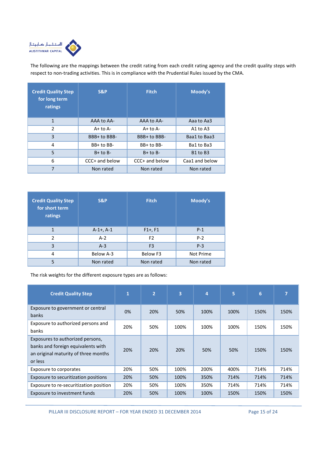

The following are the mappings between the credit rating from each credit rating agency and the credit quality steps with respect to non-trading activities. This is in compliance with the Prudential Rules issued by the CMA.

| <b>Credit Quality Step</b><br>for long term<br>ratings | <b>S&amp;P</b> | <b>Fitch</b>   | Moody's        |
|--------------------------------------------------------|----------------|----------------|----------------|
| 1                                                      | AAA to AA-     | AAA to AA-     | Aaa to Aa3     |
| $\overline{2}$                                         | $A+$ to $A-$   | $A+$ to $A-$   | A1 to $A3$     |
| 3                                                      | BBB+ to BBB-   | BBB+ to BBB-   | Baa1 to Baa3   |
| 4                                                      | $BB+$ to $BB-$ | $BB+$ to $BB-$ | Ba1 to Ba3     |
| 5                                                      | $B+$ to $B-$   | $B+$ to $B-$   | B1 to B3       |
| 6                                                      | CCC+ and below | CCC+ and below | Caa1 and below |
| 7                                                      | Non rated      | Non rated      | Non rated      |

| <b>Credit Quality Step</b><br>for short term<br>ratings | S&P                     | <b>Fitch</b>   | Moody's   |  |  |
|---------------------------------------------------------|-------------------------|----------------|-----------|--|--|
| 1                                                       | $A-1+$ , $A-1$          | $F1+, F1$      | $P-1$     |  |  |
| $\mathfrak{p}$                                          | $A-2$<br>F <sub>2</sub> |                | $P-2$     |  |  |
| 3                                                       | $A-3$                   | F <sub>3</sub> | $P-3$     |  |  |
| 4                                                       | Below A-3               | Below F3       | Not Prime |  |  |
| 5                                                       | Non rated               | Non rated      | Non rated |  |  |

The risk weights for the different exposure types are as follows:

| <b>Credit Quality Step</b>                                                                                                | 1   | $\overline{2}$ | $\overline{\mathbf{3}}$ | 4    | 5    | 6    | 7    |
|---------------------------------------------------------------------------------------------------------------------------|-----|----------------|-------------------------|------|------|------|------|
| Exposure to government or central<br><b>banks</b>                                                                         | 0%  | 20%            | 50%                     | 100% | 100% | 150% | 150% |
| Exposure to authorized persons and<br>banks                                                                               | 20% | 50%            | 100%                    | 100% | 100% | 150% | 150% |
| Exposures to authorized persons,<br>banks and foreign equivalents with<br>an original maturity of three months<br>or less | 20% | 20%            | 20%                     | 50%  | 50%  | 150% | 150% |
| Exposure to corporates                                                                                                    | 20% | 50%            | 100%                    | 200% | 400% | 714% | 714% |
| Exposure to securitization positions                                                                                      | 20% | 50%            | 100%                    | 350% | 714% | 714% | 714% |
| Exposure to re-securitization position                                                                                    | 20% | 50%            | 100%                    | 350% | 714% | 714% | 714% |
| Exposure to investment funds                                                                                              | 20% | 50%            | 100%                    | 100% | 150% | 150% | 150% |

PILLAR III DISCLOSURE REPORT - FOR YEAR ENDED 31 DECEMBER 2014 Page 15 of 24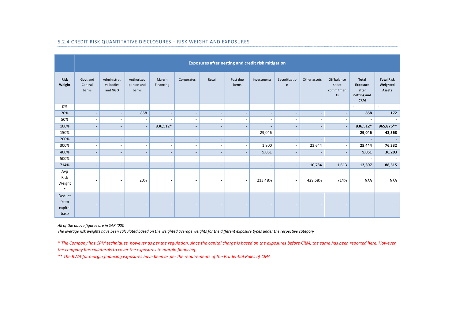|                                   | Exposures after netting and credit risk mitigation |                                      |                                   |                          |                          |                              |                          |                          |                          |                          |                                         |                                                                       |                                                |
|-----------------------------------|----------------------------------------------------|--------------------------------------|-----------------------------------|--------------------------|--------------------------|------------------------------|--------------------------|--------------------------|--------------------------|--------------------------|-----------------------------------------|-----------------------------------------------------------------------|------------------------------------------------|
| <b>Risk</b><br>Weight             | Govt and<br>Central<br>banks                       | Administrati<br>ve bodies<br>and NGO | Authorized<br>person and<br>banks | Margin<br>Financing      | Corporates               | Retail                       | Past due<br>items        | Investments              | Securitizatio<br>n       | Other assets             | Off balance<br>sheet<br>commitmen<br>ts | <b>Total</b><br><b>Exposure</b><br>after<br>netting and<br><b>CRM</b> | <b>Total Risk</b><br>Weighted<br><b>Assets</b> |
| 0%                                | $\overline{\phantom{a}}$                           | $\overline{\phantom{a}}$             | $\sim$                            | $\sim$                   | $\sim$                   | $\sim$                       | $\sim$                   | $\sim$                   | $\sim$                   | $\sim$                   | $\sim$                                  | $\sim$                                                                | $\blacksquare$                                 |
| 20%                               | $\overline{\phantom{a}}$                           | $\overline{\phantom{a}}$             | 858                               | $\overline{\phantom{a}}$ | $\overline{\phantom{a}}$ | $\overline{\phantom{a}}$     | $\overline{\phantom{a}}$ | $\overline{\phantom{a}}$ | $\overline{\phantom{a}}$ | $\blacksquare$           | $\blacksquare$                          | 858                                                                   | 172                                            |
| 50%                               | $\overline{\phantom{a}}$                           | $\overline{\phantom{a}}$             | $\overline{\phantom{a}}$          | $\overline{\phantom{a}}$ | ٠                        | $\overline{\phantom{a}}$     | $\overline{\phantom{a}}$ | $\overline{\phantom{a}}$ | $\overline{\phantom{a}}$ | $\overline{\phantom{a}}$ | $\overline{\phantom{a}}$                | $\blacksquare$                                                        | $\overline{\phantom{a}}$                       |
| 100%                              | $\overline{\phantom{a}}$                           | $\overline{\phantom{a}}$             | $\overline{\phantom{a}}$          | 836,512*                 | $\overline{\phantom{a}}$ | $\sim$                       | $\overline{\phantom{a}}$ | $\overline{\phantom{a}}$ | $\overline{\phantom{a}}$ | $\overline{\phantom{a}}$ | $\overline{\phantom{a}}$                | 836,512*                                                              | 965,876**                                      |
| 150%                              | $\overline{\phantom{a}}$                           | $\overline{\phantom{a}}$             | $\overline{\phantom{a}}$          | $\sim$                   | $\blacksquare$           | $\overline{\phantom{a}}$     | $\overline{\phantom{a}}$ | 29,046                   | $\overline{\phantom{a}}$ | $\sim$                   | $\sim$                                  | 29,046                                                                | 43,568                                         |
| 200%                              | $\overline{\phantom{a}}$                           | $\blacksquare$                       | $\blacksquare$                    | $\sim$                   | $\overline{\phantom{a}}$ | $\blacksquare$               | $\overline{\phantom{a}}$ | $\overline{\phantom{a}}$ | $\overline{\phantom{a}}$ | $\overline{\phantom{a}}$ | $\sim$                                  |                                                                       | $\overline{\phantom{a}}$                       |
| 300%                              | $\overline{\phantom{a}}$                           | $\overline{\phantom{a}}$             | $\blacksquare$                    | $\sim$                   | $\overline{\phantom{a}}$ | $\qquad \qquad \blacksquare$ | $\overline{\phantom{a}}$ | 1,800                    | $\sim$                   | 23,644                   | $\sim$                                  | 25,444                                                                | 76,332                                         |
| 400%                              | $\overline{\phantom{a}}$                           | $\overline{\phantom{a}}$             | $\overline{\phantom{a}}$          | $\overline{\phantom{a}}$ | $\overline{\phantom{a}}$ | $\overline{\phantom{a}}$     |                          | 9,051                    | $\overline{\phantom{a}}$ | $\overline{\phantom{a}}$ | $\sim$                                  | 9,051                                                                 | 36,203                                         |
| 500%                              | $\overline{\phantom{a}}$                           | $\overline{\phantom{a}}$             | $\blacksquare$                    | $\sim$                   | $\overline{\phantom{a}}$ | $\sim$                       | $\overline{\phantom{a}}$ | $\overline{\phantom{a}}$ | $\overline{\phantom{a}}$ | ٠                        | $\sim$                                  | $\blacksquare$                                                        | $\overline{\phantom{a}}$                       |
| 714%                              | $\overline{\phantom{a}}$                           | $\overline{\phantom{a}}$             | $\overline{\phantom{0}}$          | $\overline{\phantom{a}}$ | $\overline{\phantom{a}}$ | $\overline{\phantom{a}}$     | $\overline{\phantom{a}}$ | $\overline{\phantom{a}}$ | $\overline{\phantom{a}}$ | 10,784                   | 1,613                                   | 12,397                                                                | 88,515                                         |
| Avg<br>Risk<br>Weight<br>$\ast$   |                                                    | $\overline{\phantom{a}}$             | 20%                               | $\overline{\phantom{a}}$ | $\overline{\phantom{a}}$ | $\overline{\phantom{a}}$     | $\overline{\phantom{a}}$ | 213.48%                  | $\overline{\phantom{a}}$ | 429.68%                  | 714%                                    | N/A                                                                   | N/A                                            |
| Deduct<br>from<br>capital<br>base |                                                    | $\overline{\phantom{a}}$             |                                   |                          |                          |                              |                          |                          | $\overline{\phantom{a}}$ |                          |                                         |                                                                       |                                                |

## 5.2.4 CREDIT RISK QUANTITATIVE DISCLOSURES – RISK WEIGHT AND EXPOSURES

All of the above figures are in SAR '000

The average risk weights have been calculated based on the weighted average weights for the different exposure types under the respective category

\* The Company has CRM techniques, however as per the regulation, since the capital charge is based on the exposures before CRM, the same has been reported here. However,

the company has collaterals to cover the exposures to margin financing.

\*\* The RWA for margin financing exposures have been as per the requirements of the Prudential Rules of CMA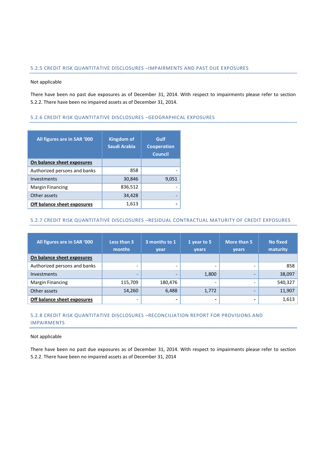# 5.2.5 CREDIT RISK QUANTITATIVE DISCLOSURES –IMPAIRMENTS AND PAST DUE EXPOSURES

#### Not applicable

There have been no past due exposures as of December 31, 2014. With respect to impairments please refer to section 5.2.2. There have been no impaired assets as of December 31, 2014.

## 5.2.6 CREDIT RISK QUANTITATIVE DISCLOSURES –GEOGRAPHICAL EXPOSURES

| All figures are in SAR '000  | <b>Kingdom of</b><br>Saudi Arabia | Gulf<br><b>Cooperation</b><br><b>Council</b> |
|------------------------------|-----------------------------------|----------------------------------------------|
| On balance sheet exposures   |                                   |                                              |
| Authorized persons and banks | 858                               |                                              |
| Investments                  | 30,846                            | 9,051                                        |
| Margin Financing             | 836,512                           |                                              |
| Other assets                 | 34,428                            |                                              |
| Off balance sheet exposures  | 1,613                             |                                              |

## 5.2.7 CREDIT RISK QUANTITATIVE DISCLOSURES –RESIDUAL CONTRACTUAL MATURITY OF CREDIT EXPOSURES

| All figures are in SAR '000  | Less than 3<br>3 months to 1<br>1 year to 5<br>months<br>year<br>years |         | More than 5<br><b>vears</b> | <b>No fixed</b><br>maturity |         |
|------------------------------|------------------------------------------------------------------------|---------|-----------------------------|-----------------------------|---------|
| On balance sheet exposures   |                                                                        |         |                             |                             |         |
| Authorized persons and banks | -                                                                      |         |                             |                             | 858     |
| <b>Investments</b>           |                                                                        |         | 1,800                       |                             | 38,097  |
| Margin Financing             | 115,709                                                                | 180,476 | -                           |                             | 540,327 |
| Other assets                 | 14,260                                                                 | 6,488   | 1,772                       |                             | 11,907  |
| Off balance sheet exposures  |                                                                        |         |                             |                             | 1,613   |

# 5.2.8 CREDIT RISK QUANTITATIVE DISCLOSURES –RECONCILIATION REPORT FOR PROVISIONS AND IMPAIRMENTS

## Not applicable

There have been no past due exposures as of December 31, 2014. With respect to impairments please refer to section 5.2.2. There have been no impaired assets as of December 31, 2014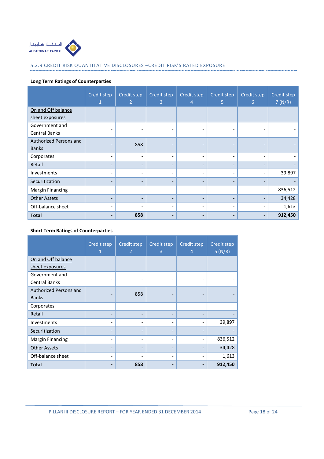

# 5.2.9 CREDIT RISK QUANTITATIVE DISCLOSURES –CREDIT RISK'S RATED EXPOSURE

# Long Term Ratings of Counterparties

|                         | Credit step<br>1         | Credit step<br>$\overline{2}$ | Credit step<br>3         | Credit step<br>4             | Credit step<br>5         | Credit step<br>$6^{\circ}$   | Credit step<br>7(N/R) |
|-------------------------|--------------------------|-------------------------------|--------------------------|------------------------------|--------------------------|------------------------------|-----------------------|
| On and Off balance      |                          |                               |                          |                              |                          |                              |                       |
| sheet exposures         |                          |                               |                          |                              |                          |                              |                       |
| Government and          |                          | $\overline{\phantom{a}}$      |                          |                              | $\overline{\phantom{a}}$ |                              |                       |
| Central Banks           |                          |                               |                          |                              |                          |                              |                       |
| Authorized Persons and  |                          | 858                           | $\overline{\phantom{0}}$ | $\overline{\phantom{a}}$     | $\qquad \qquad$          |                              |                       |
| <b>Banks</b>            |                          |                               |                          |                              |                          |                              |                       |
| Corporates              | $\overline{\phantom{a}}$ | $\overline{\phantom{a}}$      | $\overline{\phantom{0}}$ | $\overline{\phantom{a}}$     | $\overline{\phantom{a}}$ | $\overline{\phantom{a}}$     |                       |
| Retail                  |                          | $\overline{\phantom{0}}$      | $\overline{\phantom{0}}$ | $\qquad \qquad -$            |                          |                              |                       |
| Investments             | $\overline{\phantom{a}}$ | $\overline{\phantom{a}}$      | $\overline{\phantom{0}}$ | $\overline{\phantom{a}}$     | $\overline{\phantom{0}}$ | $\qquad \qquad \blacksquare$ | 39,897                |
| Securitization          |                          |                               |                          | $\overline{\phantom{a}}$     |                          |                              |                       |
| <b>Margin Financing</b> |                          | $\overline{\phantom{a}}$      | $\overline{\phantom{a}}$ | $\overline{\phantom{a}}$     | $\overline{\phantom{0}}$ |                              | 836,512               |
| <b>Other Assets</b>     | $\overline{\phantom{0}}$ | $\qquad \qquad \blacksquare$  | $\overline{\phantom{0}}$ | $\overline{\phantom{a}}$     | $\overline{\phantom{a}}$ |                              | 34,428                |
| Off-balance sheet       |                          | $\overline{\phantom{0}}$      | $\overline{\phantom{0}}$ | $\overline{\phantom{a}}$     | $\overline{\phantom{a}}$ |                              | 1,613                 |
| <b>Total</b>            |                          | 858                           | -                        | $\qquad \qquad \blacksquare$ |                          | $\blacksquare$               | 912,450               |

# Short Term Ratings of Counterparties

|                         | Credit step<br>$\mathbf{1}$ | Credit step<br>$\overline{2}$ | Credit step<br>3 | Credit step<br>$\overline{4}$ | Credit step<br>5(N/R) |
|-------------------------|-----------------------------|-------------------------------|------------------|-------------------------------|-----------------------|
| On and Off balance      |                             |                               |                  |                               |                       |
| sheet exposures         |                             |                               |                  |                               |                       |
| Government and          |                             |                               |                  |                               |                       |
| <b>Central Banks</b>    |                             |                               |                  |                               |                       |
| Authorized Persons and  |                             | 858                           |                  |                               |                       |
| <b>Banks</b>            |                             |                               |                  |                               |                       |
| Corporates              |                             |                               |                  | -                             |                       |
| Retail                  |                             |                               |                  |                               |                       |
| Investments             |                             |                               |                  | $\qquad \qquad \blacksquare$  | 39,897                |
| Securitization          |                             |                               |                  |                               |                       |
| <b>Margin Financing</b> |                             |                               |                  |                               | 836,512               |
| <b>Other Assets</b>     |                             |                               |                  |                               | 34,428                |
| Off-balance sheet       |                             |                               |                  | $\qquad \qquad \blacksquare$  | 1,613                 |
| <b>Total</b>            |                             | 858                           |                  |                               | 912,450               |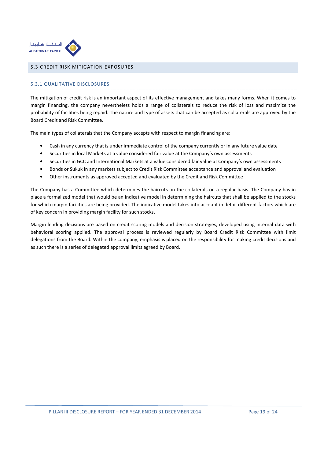

# 5.3 CREDIT RISK MITIGATION EXPOSURES

# 5.3.1 QUALITATIVE DISCLOSURES

The mitigation of credit risk is an important aspect of its effective management and takes many forms. When it comes to margin financing, the company nevertheless holds a range of collaterals to reduce the risk of loss and maximize the probability of facilities being repaid. The nature and type of assets that can be accepted as collaterals are approved by the Board Credit and Risk Committee.

The main types of collaterals that the Company accepts with respect to margin financing are:

- Cash in any currency that is under immediate control of the company currently or in any future value date
- Securities in local Markets at a value considered fair value at the Company's own assessments
- Securities in GCC and International Markets at a value considered fair value at Company's own assessments
- Bonds or Sukuk in any markets subject to Credit Risk Committee acceptance and approval and evaluation
- Other instruments as approved accepted and evaluated by the Credit and Risk Committee

The Company has a Committee which determines the haircuts on the collaterals on a regular basis. The Company has in place a formalized model that would be an indicative model in determining the haircuts that shall be applied to the stocks for which margin facilities are being provided. The indicative model takes into account in detail different factors which are of key concern in providing margin facility for such stocks.

Margin lending decisions are based on credit scoring models and decision strategies, developed using internal data with behavioral scoring applied. The approval process is reviewed regularly by Board Credit Risk Committee with limit delegations from the Board. Within the company, emphasis is placed on the responsibility for making credit decisions and as such there is a series of delegated approval limits agreed by Board.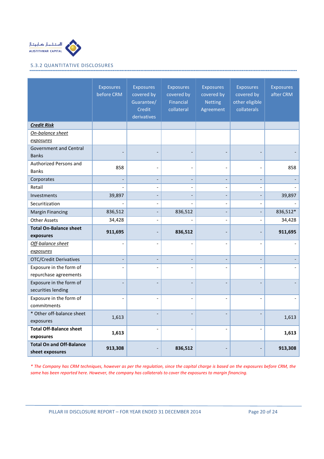

# 5.3.2 QUANTITATIVE DISCLOSURES

|                                                    | <b>Exposures</b><br>before CRM | <b>Exposures</b><br>covered by<br>Guarantee/<br>Credit<br>derivatives | <b>Exposures</b><br>covered by<br>Financial<br>collateral | <b>Exposures</b><br>covered by<br><b>Netting</b><br>Agreement | <b>Exposures</b><br>covered by<br>other eligible<br>collaterals | <b>Exposures</b><br>after CRM |
|----------------------------------------------------|--------------------------------|-----------------------------------------------------------------------|-----------------------------------------------------------|---------------------------------------------------------------|-----------------------------------------------------------------|-------------------------------|
| <b>Credit Risk</b>                                 |                                |                                                                       |                                                           |                                                               |                                                                 |                               |
| On-balance sheet                                   |                                |                                                                       |                                                           |                                                               |                                                                 |                               |
| exposures                                          |                                |                                                                       |                                                           |                                                               |                                                                 |                               |
| <b>Government and Central</b>                      |                                |                                                                       |                                                           |                                                               |                                                                 |                               |
| <b>Banks</b>                                       |                                |                                                                       |                                                           |                                                               |                                                                 |                               |
| Authorized Persons and                             | 858                            |                                                                       |                                                           |                                                               |                                                                 | 858                           |
| <b>Banks</b>                                       |                                |                                                                       |                                                           |                                                               |                                                                 |                               |
| Corporates                                         | $\blacksquare$                 | $\overline{\phantom{a}}$                                              | $\overline{\phantom{a}}$                                  | $\overline{\phantom{a}}$                                      | $\overline{\phantom{a}}$                                        |                               |
| Retail                                             |                                |                                                                       |                                                           |                                                               |                                                                 |                               |
| Investments                                        | 39,897                         |                                                                       | $\overline{a}$                                            |                                                               | $\overline{a}$                                                  | 39,897                        |
| Securitization                                     |                                | $\overline{a}$                                                        |                                                           | $\overline{\phantom{a}}$                                      | $\overline{a}$                                                  |                               |
| <b>Margin Financing</b>                            | 836,512                        |                                                                       | 836,512                                                   |                                                               | $\overline{a}$                                                  | 836,512*                      |
| <b>Other Assets</b>                                | 34,428                         |                                                                       |                                                           | $\overline{\phantom{a}}$                                      | $\qquad \qquad \blacksquare$                                    | 34,428                        |
| <b>Total On-Balance sheet</b><br>exposures         | 911,695                        |                                                                       | 836,512                                                   |                                                               |                                                                 | 911,695                       |
| Off-balance sheet                                  | $\overline{a}$                 |                                                                       | $\overline{a}$                                            |                                                               | $\overline{a}$                                                  |                               |
| exposures                                          |                                |                                                                       |                                                           |                                                               |                                                                 |                               |
| <b>OTC/Credit Derivatives</b>                      | $\overline{a}$                 |                                                                       | $\overline{a}$                                            |                                                               | $\overline{a}$                                                  |                               |
| Exposure in the form of                            | $\overline{a}$                 |                                                                       |                                                           |                                                               |                                                                 |                               |
| repurchase agreements                              |                                |                                                                       |                                                           |                                                               |                                                                 |                               |
| Exposure in the form of<br>securities lending      |                                |                                                                       |                                                           |                                                               |                                                                 |                               |
| Exposure in the form of                            | $\overline{a}$                 |                                                                       |                                                           |                                                               |                                                                 |                               |
| commitments                                        |                                |                                                                       |                                                           |                                                               |                                                                 |                               |
| * Other off-balance sheet                          | 1,613                          |                                                                       |                                                           |                                                               |                                                                 | 1,613                         |
| exposures                                          |                                |                                                                       |                                                           |                                                               |                                                                 |                               |
| <b>Total Off-Balance sheet</b>                     | 1,613                          |                                                                       |                                                           |                                                               |                                                                 | 1,613                         |
| exposures                                          |                                |                                                                       |                                                           |                                                               |                                                                 |                               |
| <b>Total On and Off-Balance</b><br>sheet exposures | 913,308                        |                                                                       | 836,512                                                   |                                                               |                                                                 | 913,308                       |

\* The Company has CRM techniques, however as per the regulation, since the capital charge is based on the exposures before CRM, the same has been reported here. However, the company has collaterals to cover the exposures to margin financing.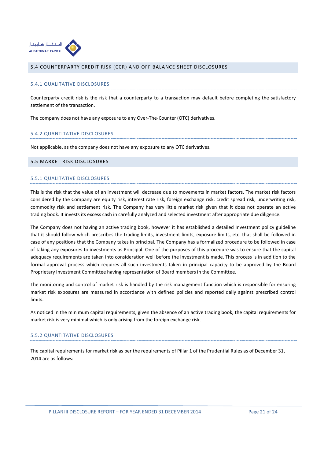

## 5.4 COUNTERPARTY CREDIT RISK (CCR) AND OFF BALANCE SHEET DISCLOSURES

#### 5.4.1 QUALITATIVE DISCLOSURES

Counterparty credit risk is the risk that a counterparty to a transaction may default before completing the satisfactory settlement of the transaction.

The company does not have any exposure to any Over-The-Counter (OTC) derivatives.

#### 5.4.2 QUANTITATIVE DISCLOSURES

Not applicable, as the company does not have any exposure to any OTC derivatives.

#### 5.5 MARKET RISK DISCLOSURES

#### 5.5.1 QUALITATIVE DISCLOSURES

This is the risk that the value of an investment will decrease due to movements in market factors. The market risk factors considered by the Company are equity risk, interest rate risk, foreign exchange risk, credit spread risk, underwriting risk, commodity risk and settlement risk. The Company has very little market risk given that it does not operate an active trading book. It invests its excess cash in carefully analyzed and selected investment after appropriate due diligence.

The Company does not having an active trading book, however it has established a detailed Investment policy guideline that it should follow which prescribes the trading limits, investment limits, exposure limits, etc. that shall be followed in case of any positions that the Company takes in principal. The Company has a formalized procedure to be followed in case of taking any exposures to investments as Principal. One of the purposes of this procedure was to ensure that the capital adequacy requirements are taken into consideration well before the investment is made. This process is in addition to the formal approval process which requires all such investments taken in principal capacity to be approved by the Board Proprietary Investment Committee having representation of Board members in the Committee.

The monitoring and control of market risk is handled by the risk management function which is responsible for ensuring market risk exposures are measured in accordance with defined policies and reported daily against prescribed control limits.

As noticed in the minimum capital requirements, given the absence of an active trading book, the capital requirements for market risk is very minimal which is only arising from the foreign exchange risk.

#### 5.5.2 QUANTITATIVE DISCLOSURES

The capital requirements for market risk as per the requirements of Pillar 1 of the Prudential Rules as of December 31, 2014 are as follows: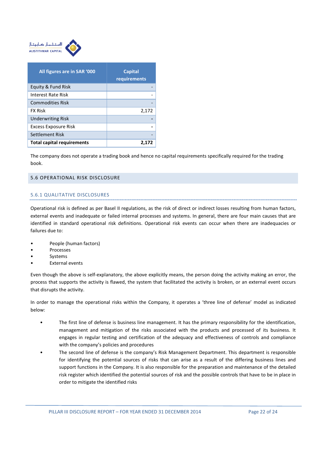

| All figures are in SAR '000       | <b>Capital</b><br>requirements |
|-----------------------------------|--------------------------------|
| Equity & Fund Risk                |                                |
| Interest Rate Risk                |                                |
| <b>Commodities Risk</b>           |                                |
| <b>FX Risk</b>                    | 2,172                          |
| <b>Underwriting Risk</b>          |                                |
| <b>Excess Exposure Risk</b>       |                                |
| Settlement Risk                   |                                |
| <b>Total capital requirements</b> | 2.1                            |

The company does not operate a trading book and hence no capital requirements specifically required for the trading book.

## 5.6 OPERATIONAL RISK DISCLOSURE

# 5.6.1 QUALITATIVE DISCLOSURES

Operational risk is defined as per Basel II regulations, as the risk of direct or indirect losses resulting from human factors, external events and inadequate or failed internal processes and systems. In general, there are four main causes that are identified in standard operational risk definitions. Operational risk events can occur when there are inadequacies or failures due to:

- People (human factors)
- **Processes**
- **Systems**
- **External events**

Even though the above is self-explanatory, the above explicitly means, the person doing the activity making an error, the process that supports the activity is flawed, the system that facilitated the activity is broken, or an external event occurs that disrupts the activity.

In order to manage the operational risks within the Company, it operates a 'three line of defense' model as indicated below:

- The first line of defense is business line management. It has the primary responsibility for the identification, management and mitigation of the risks associated with the products and processed of its business. It engages in regular testing and certification of the adequacy and effectiveness of controls and compliance with the company's policies and procedures
- The second line of defense is the company's Risk Management Department. This department is responsible for identifying the potential sources of risks that can arise as a result of the differing business lines and support functions in the Company. It is also responsible for the preparation and maintenance of the detailed risk register which identified the potential sources of risk and the possible controls that have to be in place in order to mitigate the identified risks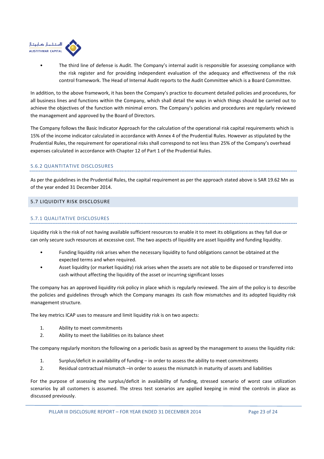

• The third line of defense is Audit. The Company's internal audit is responsible for assessing compliance with the risk register and for providing independent evaluation of the adequacy and effectiveness of the risk control framework. The Head of Internal Audit reports to the Audit Committee which is a Board Committee.

In addition, to the above framework, it has been the Company's practice to document detailed policies and procedures, for all business lines and functions within the Company, which shall detail the ways in which things should be carried out to achieve the objectives of the function with minimal errors. The Company's policies and procedures are regularly reviewed the management and approved by the Board of Directors.

The Company follows the Basic Indicator Approach for the calculation of the operational risk capital requirements which is 15% of the income indicator calculated in accordance with Annex 4 of the Prudential Rules. However as stipulated by the Prudential Rules, the requirement for operational risks shall correspond to not less than 25% of the Company's overhead expenses calculated in accordance with Chapter 12 of Part 1 of the Prudential Rules.

# 5.6.2 QUANTITATIVE DISCLOSURES

As per the guidelines in the Prudential Rules, the capital requirement as per the approach stated above is SAR 19.62 Mn as of the year ended 31 December 2014.

# 5.7 LIQUIDITY RISK DISCLOSURE

# 5.7.1 QUALITATIVE DISCLOSURES

Liquidity risk is the risk of not having available sufficient resources to enable it to meet its obligations as they fall due or can only secure such resources at excessive cost. The two aspects of liquidity are asset liquidity and funding liquidity.

- Funding liquidity risk arises when the necessary liquidity to fund obligations cannot be obtained at the expected terms and when required.
- Asset liquidity (or market liquidity) risk arises when the assets are not able to be disposed or transferred into cash without affecting the liquidity of the asset or incurring significant losses

The company has an approved liquidity risk policy in place which is regularly reviewed. The aim of the policy is to describe the policies and guidelines through which the Company manages its cash flow mismatches and its adopted liquidity risk management structure.

The key metrics ICAP uses to measure and limit liquidity risk is on two aspects:

- 1. Ability to meet commitments
- 2. Ability to meet the liabilities on its balance sheet

The company regularly monitors the following on a periodic basis as agreed by the management to assess the liquidity risk:

- 1. Surplus/deficit in availability of funding in order to assess the ability to meet commitments
- 2. Residual contractual mismatch –in order to assess the mismatch in maturity of assets and liabilities

For the purpose of assessing the surplus/deficit in availability of funding, stressed scenario of worst case utilization scenarios by all customers is assumed. The stress test scenarios are applied keeping in mind the controls in place as discussed previously.